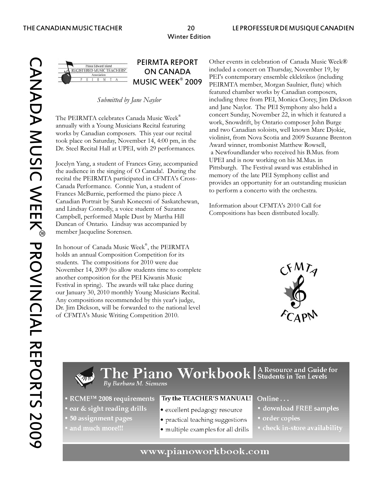Prince Edward Island<br>ISTERED MUSIC TEACHERS'

Jocelyn Yang, a student of Frances Gray, accompanied<br>the audience in the singing of O Canadal. During the<br>recital the PEIRMTA participated in CFMTA's Cross-<br>Canada Performance. Connie Yun, a student of<br>Frances McBurnie, pe Canadian Portrait by Sarah Konecsni of Saskatchewan,<br>
and Lindsay Connolly, a voice student of Suzanne<br>
Compositions has been distributed locally.<br>
Compositions has been distributed locally. Duncan of Ontario. Lindsay was accompanied by member Jacqueline Sorensen.

In honour of Canada Music Week®, the PEIRMTA holds an annual Composition Competition for its students. The compositions for 2010 were due November 14, 2009 (to allow students time to complete another composition for the PEI Kiwanis Music Festival in spring). The awards will take place during our January 30, 2010 monthly Young Musicians Recital. Any compositions recommended by this year's judge, Dr. Jim Dickson, will be forwarded to the national level of CFMTA's Music Writing Competition 2010.

PEIRMTA REPORT Other events in celebration of Canada Music Week® **ON CANADA** included a concert on Thursday, November 19, by<br> **MUSIC WEEK<sup>®</sup> 2009** PEIRMTA member, Morgan Saulnier, flute) which featured chamber works by Canadian composers, *Submitted by Jane Naylor* including three from PEI, Monica Clorey, Jim Dickson and Jane Naylor. The PEI Symphony also held a The PEIRMTA celebrates Canada Music Week<sup>®</sup><br>
annually with a Young Musicians Recital featuring<br>
work, Snowdrift, by Ontario composer John Burge<br>
works by Canadian composers. This year our recital<br>
took place on Saturday, N



 $\Gamma$ he Piano Workbook | A Resource and Guide for By Barbara M. Siemens

- RCME<sup>TM</sup> 2008 requirements
- ear & sight reading drills
- 50 assignment pages and much more!!!
- · excellent pedagogy resource

Try the TEACHER'S MANUAL!

- practical teaching suggestions
- multiple examples for all drills
- Online...
- download FREE samples
- order copies
- · check in-store availability

# www.pianoworkbook.com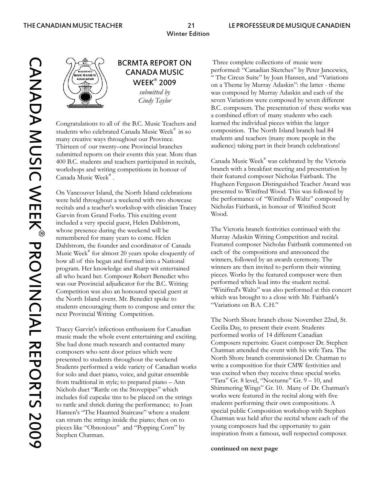

Congratulations to all of the B.C. Music Teachers and learned the individual pieces within the larger<br>students who celebrated Canada Music Week® in so composition. The North Island branch had 84 students who celebrated Canada Music Week<sup>®</sup> in so composition. The North Island branch had 84<br>many creative ways throughout our Province. Students and teachers (many more people in the many creative ways throughout our Province. Thirteen of our twenty–one Provincial branches audience) taking part in their branch celebrations! submitted reports on their events this year. More than 400 B.C. students and teachers participated in recitals, workshops and writing competitions in honour of branch with a breakfast meeting and presentation by Canada Music Week®.

On Vancouver Island, the North Island celebrations presented to Winifred Wood. This was followed by were held throughout a weekend with two showcase the performance of "Winifred's Waltz" composed by<br>recitals and a teacher's workshop with clinician Tracey Nicholas Fairbank, in honour of Winifred Scott recitals and a teacher's workshop with clinician Tracey Michol<br>Garvin from Grand Forks, This exciting event Wood. Garvin from Grand Forks. This exciting event included a very special guest, Helen Dahlstrom, whose presence during the weekend will be The Victoria branch festivities continued with the remembered for many years to come. Helen Murray Adaskin Writing Competition and recital. Dahlstrom, the founder and coordinator of Canada Featured composer Nicholas Fairbank commented on<br>Music Week® for almost 20 vears spoke eloquently of each of the compositions and announced the Music Week<sup>®</sup> for almost 20 years spoke eloquently of each of the compositions and announced the<br>how all of this began and formed into a National winners, followed by an awards ceremony. The how all of this began and formed into a National winners, followed by an awards ceremony. The<br>program Her knowledge and sharp wit entertained winners are then invited to perform their winning program. Her knowledge and sharp wit entertained winners are then invited to perform their winning<br>all who heard her. Composer Robert Benedict who pieces. Works by the featured composer were then all who heard her. Composer Robert Benedict who pieces. Works by the featured composer were<br>was our Provincial adjudicator for the B.C. Writing performed which lead into the student recital. was our Provincial adjudicator for the B.C. Writing Competition was also an honoured special guest at "Winifred's Waltz" was also performed at this concert the North Island event. Mr. Benedict spoke to which was brought to a close with Mr. Fairbank's<br>students encouraging them to compose and enter the "Variations on B.A. C.H." students encouraging them to compose and enter the next Provincial Writing Competition.

Tracey Garvin's infectious enthusiasm for Canadian Cecilia Day, to present their event. Students<br>music made the whole event entertaining and exciting performed works of 14 different Canadian music made the whole event entertaining and exciting. She had done much research and contacted many<br>
Composers repertoire. Guest composer Dr. Stephen<br>
Chatman attended the event with his wife Tara. The composers who sent door prizes which were composers who sent door prizes which were composers who sent door prizes which were contracted the event with his wife Tara. The composers who sent door prizes which weekend North presented to students throughout the weekend North Shore branch commissioned Dr. Chatman<br>Students performed a wide variety of Canadian works write a composition for their CMW festivities and Students performed a wide variety of Canadian works for solo and duet piano, voice, and guitar ensemble was excited when they receive three special works. from traditional in style; to prepared piano – Ann "Tara" Gr. 8 level, "Nocturne" Gr.  $9 - 10$ , and Nichols duet "Rattle on the Stovepipes" which Shimmering Wings" Gr. 10. Many of Dr. Chatman's<br>
includes foil cupcake tins to be placed on the strings works were featured in the recital along with five includes foil cupcake tins to be placed on the strings works were featured in the recital along with five<br>to rattle and shriek during the performance: to Joan students performing their own compositions. A to rattle and shriek during the performance; to Joan students performing their own compositions. A<br>Hansen's "The Haunted Staircase" where a student special public Composition workshop with Stephen Hansen's "The Haunted Staircase" where a student special public Composition workshop with Stephen<br>can strum the strings inside the piano; then on to Chatman was held after the recital where each of the can strum the strings inside the piano; then on to<br>
pieces like "Obnoxious" and "Popping Corn" by young composers had the opportunity to gain pieces like "Obnoxious" and "Popping Corn" by Stephen Chatman. **inspiration** from a famous, well respected composer.

**BCRMTA REPORT ON** Three complete collections of music were **CANADA MUSIC** Performed: "Canadian Sketches" by Peter Jancewics,<br>
"The Circus Suite" by Joan Hansen, and "Variations<br>
On a Theme by Murray Adaskin": the latter - theme **THE Circus Suite"** by Joan Hansen, and "Variations on a Theme by Murray Adaskin": the latter - theme *submitted by* was composed by Murray Adaskin and each of the *submitted by* was composed by Murray Adaskin and each of the *Cindy Taylor* seven Variations were composed by seven different B.C. composers. The presentation of these works was a combined effort of many students who each

> Canada Music Week® was celebrated by the Victoria their featured composer Nicholas Fairbank. The Hugheen Ferguson Distinguished Teacher Award was

The North Shore branch chose November 22nd, St.

**continued on next page**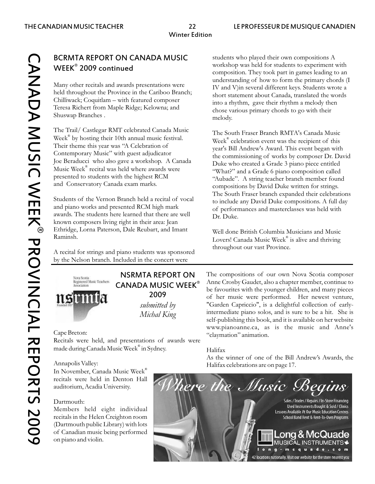® CANADA MUSIC WEEK PROVINCIAL REPORTS 2009 **CANADA MUSIC WEEK® PROVINCIAL REPORTS 2009** 

# BCRMTA REPORT ON CANADA MUSIC students who played their own compositions A<br>WEEK® 2000 continued  $WEEK^{\circ}$  2009 continued

Many other recitals and awards presentations were IV and V)in several different keys. Students wrote a held throughout the Province in the Cariboo Branch; short statement about Canada, translated the words Chilliwack; Coquitlam – with featured composer<br>Teresa Richert from Maple Ridge; Kelowna; and<br>chose various primary chords to go with their Shuswap Branches . melody.

The Trail/ Castlegar RMT celebrated Canada Music<br>Week<sup>®</sup> by hosting their 10th annual music festival. Week<sup>®</sup> celebration event was the recipient of this<br>Their theme this year was "A Celebration of week" Bill Andrew's Awar Their theme this year was "A Celebration of year's Bill Andrew's Award. This event began with<br>Contemporary Music" with guest adjudicator the commissioning of works by composer Dr. Day Contemporary Music With guest adjudicator the commissioning of works by composer Dr. David<br>Joe Beraducci who also gave a workshop. A Canada Duke who created a Grade 3 piano piece entitled Joe Beraducci who also gave a workshop. A Canada Duke who created a Grade 3 piano piece entitled<br>Music Week<sup>®</sup> recital was held where awards were "What?" and a Grade 6 piano composition called<br>"Aubade". A string teacher br presented to students with the highest RCM "Aubade". A string teacher branch member found<br>and Conservatory Canada exam marks.

Students of the Vernon Branch held a recital of vocal<br>to include any David Duke compositions. A full day<br>of performances and masterclasses was held with awards. The students here learned that there are well  $\mathbf{D}_r \cdot \mathbf{D}_u$ known composers living right in their area: Jean Ethridge, Lorna Paterson, Dale Reubart, and Imant Well done British Columbia Musicians and Music<br>Raminsh. Lorent Cause b Music Week West <sup>®</sup> is alimeated thrivia

A recital for strings and piano students was sponsored by the Nelson branch. Included in the concert were



Recitals were held, and presentations of awards were made during Canada Music Week® in Sydney. Halifax

In November, Canada Music Week® recitals were held in Denton Hall auditorium, Acadia University.

## Dartmouth:

Members held eight individual recitals in the Helen Creighton room (Dartmouth public Library) with lots of Canadian music being performed on piano and violin.

composition. They took part in games leading to an understanding of how to form the primary chords (I chose various primary chords to go with their

compositions by David Duke written for strings. The South Fraser branch expanded their celebrations of performances and masterclasses was held with

Raminsh. ® Lovers! Canada Music Week is alive and thriving throughout our vast Province.

**NSRMTA REPORT ON** The compositions of our own Nova Scotia composer<br>**CANADA MUSIC WEEK**<sup>®</sup> **MUSIC WEEK**<sup> $\circ$ </sup> Anne Crosby Gaudet, also a chapter member, continue to be favourites with the younger children, and many pieces 2009 of her music were performed. Her newest venture, *submitted by* "Garden Capriccio", is a delightful collection of early-*Michal King* intermediate piano solos, and is sure to be a hit. She is self-publishing this book, and it is available on her website www.pianoanne.ca, as is the music and Anne's Cape Breton: "claymation" animation.

As the winner of one of the Bill Andrew's Awards, the Annapolis Valley: Annapolis Valley:

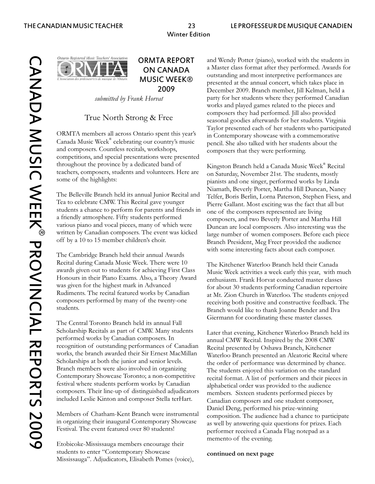ario Registered Music Teachers' Association

ORMTA members all across Ontario spent this year's in Contemporary showcase with a commemorative Canada Music Week® celebrating our country's music pencil. She also talked with her students about the and composers. Countless recitals, workshops, composers that they were performing. competitions, and special presentations were presented throughout the province by a dedicated band of<br>
Kingston Branch held a Canada Music Week<sup>®</sup> Recital<br>
teachers, composers, students and volunteers. Here are<br>
on Saturday November 21st. The students mostly teachers, composers, students and volunteers. Here are on Saturday, November 21st. The students, mostly<br>some of the highlights:<br>linda

The Belleville Branch held its annual Junior Recital and Telfer, Boris Berlin, Lorna Paterson, Stephen Fiess, and Tea to celebrate CMW. This Recital gave younger Pierre Gallant. Most exciting was the fact that all but students a chance to perform for parents and friends in one of the composers represented are living<br>a friendly atmosphere. Fifty students performed various piano and vocal pieces, many of which were Duncan are local composers. Also interesting was the written by Canadian composers. The event was kicked large number of women composers. Before each piece written by Canadian composers. The event was kicked large number of women composers. Before each piece<br>off by a 10 to 15 member children's choir. Branch President Meo Freer provided the audience

The Cambridge Branch held their annual Awards Recital during Canada Music Week. There were 10<br>awards given out to students for achieving First Class<br>Music Week activities a week early this year, with n Honours in their Piano Exams. Also, a Theory Award enthusiasm. Frank Horvat conducted master classes<br>was given for the highest mark in Advanced for about 30 students performing Canadian repertoi was given for the highest mark in Advanced<br>Rudiments. The recital featured works by Canadian at Mt. Zion Church in Waterloo. The students enjoyed

The Central Toronto Branch held its annual Fall Scholarship Recitals as part of CMW. Many students Later that evening, Kitchener Waterloo Branch held its performed works by Canadian composers. In annual CMW Recital Inspired by the 2008 CMW recognition of outstanding performances of Canadian Recital presented by Oshawa Branch, Kitchener<br>works, the branch awarded their Sir Ernest MacMillan Waterloo Branch presented an Aleatoric Recital works, the branch awarded their Sir Ernest MacMillan Waterloo Branch presented an Aleatoric Recital where<br>Scholarships at both the junior and senior levels. Branch members were also involved in organizing The students enjoyed this variation on the standard Contemporary Showcase Toronto; a non-competitive recital format. A list of performers and their pieces in festival where students perform works by Canadian alphabetical order was provided to the audience festival where students perform works by Canadian alphabetical order was provided to the audience<br>composers. Their line-up of distinguished adjudicators members. Sixteen students performed pieces by included Leslie Kinton and composer Stella terHart. Canadian composers and one student composer,

in organizing their inaugural Contemporary Showcase as well by answering quiz questions for prizes. Each<br>Festival. The event featured over 80 students!

Etobicoke-Mississauga members encourage their students to enter "Contemporary Showcase **continued on next page** Mississauga". Adjudicators, Elisabeth Pomes (voice),

**ORMTA REPORT** and Wendy Potter (piano), worked with the students in **ON CANADA** a Master class format after they performed. Awards for outstanding and most interpretive performances are **MUSIC WEEK®** presented at the annual concert, which takes place in<br>**2009** Presented at the annual concert, which takes place in 2009 December 2009. Branch member, Jill Kelman, held a *submitted by Frank Horvat* party for her students where they performed Canadian works and played games related to the pieces and True North Strong & Free seasonal goodies afterwards for her students. Virginia<br>seasonal goodies afterwards for her students. Virginia Taylor presented each of her students who participated

> pianists and one singer, performed works by Linda Niamath, Beverly Porter, Martha Hill Duncan, Nancy composers, and two Beverly Porter and Martha Hill Branch President, Meg Freer provided the audience with some interesting facts about each composer.

Music Week activities a week early this year, with much Rudiments. The recital featured works by Canadian at Mt. Zion Church in Waterloo. The students enjoyed composers performed by many of the twenty-one composers performed by many of the twenty-one receiving both positive and constructive feedback. The students. Branch would like to thank Joanne Bender and Ilva Giermann for coordinating these master classes.

annual CMW Recital. Inspired by the 2008 CMW the order of performance was determined by chance. members. Sixteen students performed pieces by Daniel Deng, performed his prize-winning Members of Chatham-Kent Branch were instrumental composition. The audience had a chance to participate<br>in organizing their inaugural Contemporary Showcase performer received a Canada Flag notepad as a memento of the evening.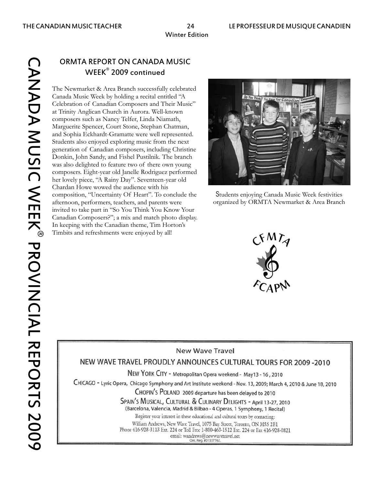# ® CANADA MUSIC WEEK PROVINCIAL REPORTS **CANADA MUSIC WEEK® PROVINCIAL REPORTS 2009**

# ORMTA REPORT ON CANADA MUSIC WEEK<sup>®</sup> 2009 continued

The Newmarket & Area Branch successfully celebrated Canada Music Week by holding a recital entitled "A Celebration of Canadian Composers and Their Music" at Trinity Anglican Church in Aurora. Well-known composers such as Nancy Telfer, Linda Niamath, Marguerite Spencer, Court Stone, Stephan Chatman, and Sophia Eckhardt-Gramatte were well represented. Students also enjoyed exploring music from the next generation of Canadian composers, including Christine Donkin, John Sandy, and Fishel Pustilnik. The branch was also delighted to feature two of there own young composers. Eight-year old Janelle Rodriguez performed her lovely piece, "A Rainy Day". Seventeen-year old Chardan Howe wowed the audience with his composition, "Uncertainty Of Heart". To conclude the afternoon, performers, teachers, and parents were invited to take part in "So You Think You Know Your Canadian Composers?"; a mix and match photo display. In keeping with the Canadian theme, Tim Horton's Timbits and refreshments were enjoyed by all!



Students enjoying Canada Music Week festivities organized by ORMTA Newmarket & Area Branch



# **New Wave Travel**

# NEW WAVE TRAVEL PROUDLY ANNOUNCES CULTURAL TOURS FOR 2009 -2010

NEW YORK CITY - Metropolitan Opera weekend - May13 - 16, 2010

CHICAGO - Lyric Opera, Chicago Symphony and Art Institute weekend - Nov. 13, 2009; March 4, 2010 & June 18, 2010

CHOPIN'S POLAND 2009 departure has been delayed to 2010

SPAIN'S MUSICAL, CULTURAL & CULINARY DELIGHTS - April 13-27, 2010

(Barcelona, Valencia, Madrid & Bilbao - 4 Operas, 1 Symphony, 1 Recital) Register vour interest in these educational and cultural tours by contacting:

William Andrews, New Wave Travel, 1075 Bay Street, Toronto, ON M5S 2B1 Phone 416-928-3113 Ext. 224 or Toll Free 1-800-463-1512 Ext. 224 or Fax 416-928-0821 email: wandrews@newwavetravel.net<br>
Ont. Reg. #01337762.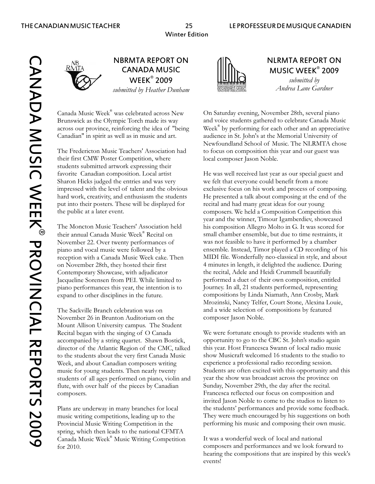® WEEK 2009 *submitted by Andrea Lane Gardner submitted by Heather Dunham*

Canada Music Week® was celebrated across New

their first CMW Poster Competition, where local composer Jason Noble. students submitted artwork expressing their Sharon Hicks judged the entries and was very we felt that everyone could benefit from a more put into their posters. These will be displayed for recital and had many great ideas for our young

their annual Canada Music Week® Recital on Contemporary Showcase, with adjudicator the recital, Adele and Heidi Crummell beautifully

The Sackville Branch celebration was on and a wide selection of compositions by featured November 26 in Brunton Auditorium on the composer Jason Noble. Mount Allison University campus. The Student Week, and about Canadian composers writing experience a professional radio recording session. flute, with over half of the pieces by Canadian Sunday, November 29th, the day after the recital. composers. Francesca reflected our focus on composition and

spring, which then leads to the national CFMTA Canada Music Week® Music Writing Competition It was a wonderful week of local and national



# NBRMTA REPORT ON AIN NIRMTA REPORT ON  $CANADA MUSIC$   $\qquad$   $\qquad$   $\qquad$   $\qquad$   $\qquad$   $\qquad$   $\qquad$   $\qquad$   $\qquad$   $\qquad$   $\qquad$   $\qquad$   $\qquad$   $\qquad$   $\qquad$   $\qquad$   $\qquad$   $\qquad$   $\qquad$   $\qquad$   $\qquad$   $\qquad$   $\qquad$   $\qquad$   $\qquad$   $\qquad$   $\qquad$   $\qquad$   $\qquad$   $\qquad$   $\qquad$   $\qquad$   $\qquad$   $\qquad$   $\qquad$   $\$

On Saturday evening, November 28th, several piano Brunswick as the Olympic Torch made its way and voice students gathered to celebrate Canada Music across our province, reinforcing the idea of "being Week® by performing for each other and an appreciative Canadian" in spirit as well as in music and art. audience in St. John's at the Memorial University of Newfoundland School of Music. The NLRMTA chose The Fredericton Music Teachers' Association had to focus on composition this year and our guest was

favorite Canadian composition. Local artist He was well received last year as our special guest and impressed with the level of talent and the obvious exclusive focus on his work and process of composing. hard work, creativity, and enthusiasm the students He presented a talk about composing at the end of the the public at a later event. composers. We held a Composition Competition this year and the winner, Timour Igamberdiev, showcased The Moncton Music Teachers' Association held his composition Allegro Molto in G. It was scored for small chamber ensemble, but due to time restraints, it November 22. Over twenty performances of was not feasible to have it performed by a chamber piano and vocal music were followed by a ensemble. Instead, Timor played a CD recording of his reception with a Canada Music Week cake. Then MIDI file. Wonderfully neo-classical in style, and about on November 28th, they hosted their first 4 minutes in length, it delighted the audience. During Jacqueline Sorensen from PEI. While limited to performed a duet of their own composition, entitled piano performances this year, the intention is to Journey. In all, 21 students performed, representing expand to other disciplines in the future. compositions by Linda Niamath, Ann Crosby, Mark Mrozinski, Nancy Telfer, Court Stone, Alexina Louie,

Recital began with the singing of O Canada We were fortunate enough to provide students with an accompanied by a string quartet. Shawn Bostick, opportunity to go to the CBC St. John's studio again director of the Atlantic Region of the CMC, talked this year. Host Francesca Swann of local radio music to the students about the very first Canada Music show Musicraft welcomed 16 students to the studio to music for young students. Then nearly twenty Students are often excited with this opportunity and this students of all ages performed on piano, violin and year the show was broadcast across the province on invited Jason Noble to come to the studios to listen to Plans are underway in many branches for local the students' performances and provide some feedback. music writing competitions, leading up to the They were much encouraged by his suggestions on both Provincial Music Writing Competition in the performing his music and composing their own music.

for 2010. composers and performances and we look forward to hearing the compositions that are inspired by this week's events!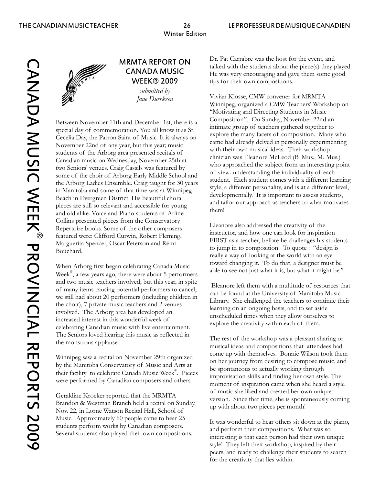® CANADA MUSIC WEEK PROVINCIAL REPORTS 2009**CANADA MUSIC WEEK® PROVINCIAL REPORTS 2009** 



# *submitted by*

Between November 11th and December 1st, there is a<br>
special day of commemoration. You all know it as St.<br>
Cecelia Day, the Patron Saint of Music. It is always on<br>
care had already delved in personally experimenting<br>
Novemb Collins presented pieces from the Conservatory<br>
Repertoire books. Some of the other composers<br>
featured were: Clifford Curwin, Robert Fleming,<br>
Marguerita Spencer, Oscar Peterson and Rémi<br>
Bouchard.<br>
Bouchard.<br>
TRST as a t

Week<sup>®</sup>, a few years ago, there were about 5 performers and two music teachers involved; but this year, in spite<br>of many items causing potential performers to cancel,<br>we still had about 20 performers (including children in<br>the choir), 7 private music teachers and 2 venues<br>invol The seniors loved hearing this music as reflected in The rest of the workshop was a pleasant sharing or the monstrous applause. The musical ideas and compositions that attendees had

Geraldine Kroeker reported that the MRMTA<br>Brandon & Westman Branch held a recital on Sunday,<br>Nov. 22, in Lorne Watson Recital Hall, School of priority with about two pieces per month!

**MRMTA REPORT ON** Dr. Pat Carrabre was the host for the event, and talked with the students about the piece(s) they played.<br>**CANADA MUSIC** He was very encouraging and gave them some good **EXAMPLE FE** was very encouraging and gave them some good<br>WEEK® 2009 tips for their own compositions. tips for their own compositions.

Vivian Klosse, CMW convener for MRMTA *Jane Duerksen*  Winnipeg, organized a CMW Teachers' Workshop on "Motivating and Directing Students in Music

When Arborg first began celebrating Canada Music<br>ward changing it. To do that, a designer must be<br>able to see not just what it is, but what it might be."

Winnipeg saw a recital on November 29th organized<br>by the Manitoba Conservatory of Music and Arts at<br>the spontaneous to actually working through<br> $\frac{1}{100}$  is  $\frac{1}{100}$  in  $\frac{1}{100}$  in  $\frac{1}{100}$  in  $\frac{1}{100}$  in  $\frac$ their facility to celebrate Canada Music Week<sup>®</sup>. Pieces<br>were performed by Canadian composers and others.<br>moment of inspiration came when she heard a style

Music. Approximately 60 people came to hear 25<br>students perform works by Canadian composers.<br>Several students also played their own compositions.<br>Several students also played their own compositions.<br>It was wonderful to hea style! They left their workshop, inspired by their peers, and ready to challenge their students to search for the creativity that lies within.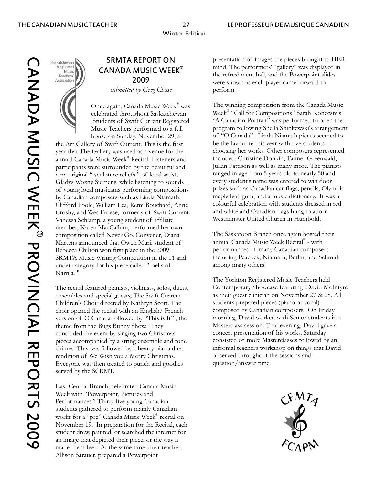# Saskatchewan<br>Registered Music Teachers Association

*submitted by Greg Chase* perform.

the Art Gallery of Swift Current. This is the first be the favourite this year with five students<br>vear that The Gallery was used as a venue for the choosing her works. Other composers represented year that The Gallery was used as a venue for the choosing her works. Other composers represent<br>annual Canada Music Week® Recital. Listeners and included: Christine Donkin, Tanner Greenwald, annual Canada Music Week® Recital. Listeners and included: Christine Donkin, Tanner Greenwald, participants were surrounded by the beautiful and Julian Pattison as well as many more. The pianists very original "sculpture reliefs " of local artist. very original " sculpture reliefs " of local artist, ranged in age from 5 years old to nearly 50 and<br>Gladys Wozny Siemens, while listening to sounds every student's name was entered to win door Gladys Wozny Siemens, while listening to sounds of young local musicians performing compositions prizes such as Canadian car flags, pencils, Olympic by Canadian composers such as Linda Niamath, maple leaf gum, and a music dictionary. It was a<br>Clifford Poole. William Lea. Remi Bouchard. Anne colourful celebration with students dressed in red Clifford Poole, William Lea, Remi Bouchard, Anne colourful celebration with students dressed in Crosby and Wes Froese formerly of Swift Current. Crosby, and Wes Froese, formerly of Swift Current. and white and Canadian flags hung to adornation of a third Church in Humboldt. Vanessa Schlamp, a young student of affiliate member, Karen MacCallum, performed her own composition called Never Go. Convener, Diana The Saskatoon Branch once again hosted their<br>Martens announced that Owen Muri. student of annual Canada Music Week Recital® - with Martens announced that Owen Muri, student of annual Canada Music Week Recital - with<br>Rebecca Chilton won first place in the 2009 performances of many Canadian composers Rebecca Chilton won first place in the 2009 performances of many Canadian composers<br>SRMTA Music Writing Competition in the 11 and including Peacock, Niamath, Berlin, and Schmidt SRMTA Music Writing Competition in the 11 and including Peacock, N<br>under category for his piece called "Bells of among many others! under category for his piece called " Bells of Narnia. ".

ensembles and special guests, The Swift Current as their guest clinician on November 27 & 28. Children's Choir directed by Kathryn Scott. The students prepared pieces (piano or vocal) Children's Choir directed by Kathryn Scott. The choir opened the recital with an English/ French composed by Canadian composers. On Friday version of O Canada followed by "This is It" , the morning, David worked with Senior students in a theme from the Bugs Bunny Show. They Masterclass session. That evening, David gave a concluded the event by singing two Christmas concert presentation of his works. Saturday<br>pieces accompanied by a string ensemble and tone consisted of more Masterclasses followed by an pieces accompanied by a string ensemble and tone chimes. This was followed by a hearty piano duet informal teachers workshop on things that David<br>rendition of We Wish you a Merry Christmas.<br>bserved throughout the sessions and rendition of We Wish you a Merry Christmas. Observed throughout the serve of We Wish you a Merry Christmas. The session of the session  $\mu$  and  $\mu$  and  $\mu$  and  $\mu$  and  $\mu$  and  $\mu$  and  $\mu$  and  $\mu$  and  $\mu$  and  $\mu$  a Everyone was then treated to punch and goodies served by the SCRMT.

East Central Branch, celebrated Canada Music Week with "Powerpoint, Pictures and Performances." Thirty five young Canadian students gathered to perform mainly Canadian works for a "pre" Canada Music Week<sup>®</sup> recital on November 19. In preparation for the Recital, each student drew, painted, or searched the internet for an image that depicted their piece, or the way it made them feel. At the same time, their teacher, Allison Sarauer, prepared a Powerpoint

**SRMTA REPORT ON** presentation of images the pieces brought to HER **CANADA MUSIC WEEK<sup><sup>®</sup>** mind. The performers' "gallery" was displayed in the refreshment hall, and the Powerpoint slides 2009</sup> were shown as each player came forward to

Once again, Canada Music Week<sup>®</sup> was The winning composition from the Canada Music celebrated throughout Saskatchewan. Week® "Call for Compositions" Sarah Konecsni's Students of Swift Current Registered "A Canadian Portrait" was performed to open the Music Teachers performed to a full program following Sheila Shinkewski's arrangement house on Sunday, November 29, at of "O Canada". Linda Niamath pieces seemed to

The Yorkton Registered Music Teachers held The recital featured pianists, violinists, solos, duets, Contemporary Showcase featuring David McIntyre ensembles and special guests. The Swift Current as their guest clinician on November 27 & 28. All